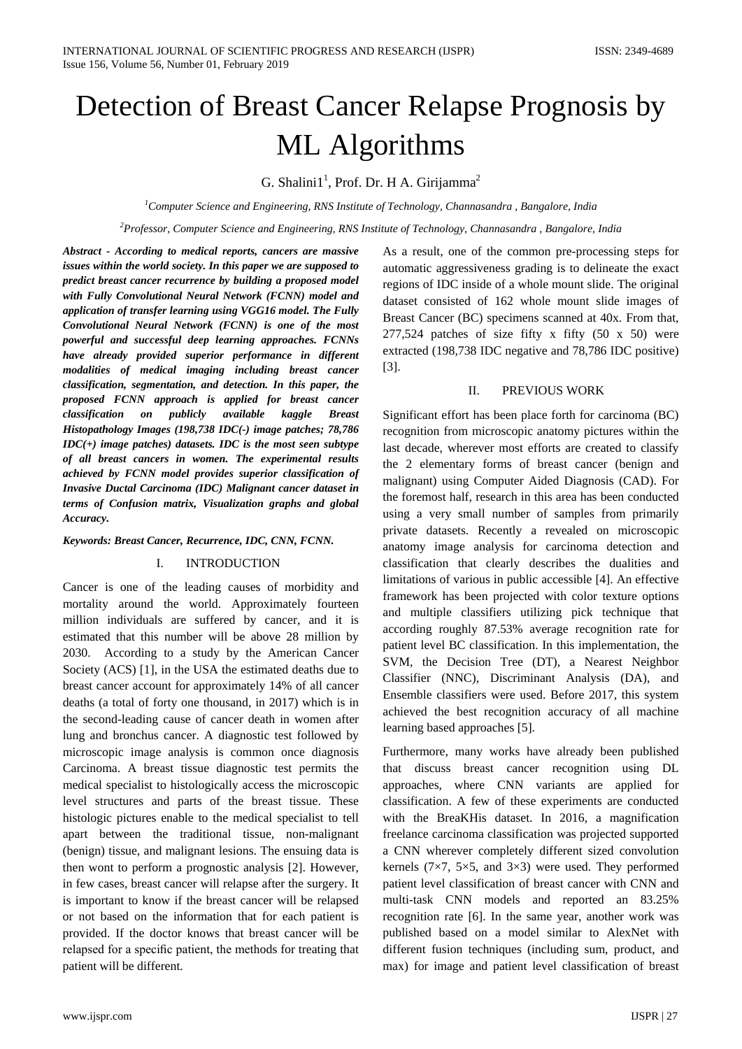# Detection of Breast Cancer Relapse Prognosis by ML Algorithms

G. Shalini $1<sup>1</sup>$ , Prof. Dr. H A. Girijamma<sup>2</sup>

*1 Computer Science and Engineering, RNS Institute of Technology, Channasandra , Bangalore, India*

*2 Professor, Computer Science and Engineering, RNS Institute of Technology, Channasandra , Bangalore, India*

*Abstract - According to medical reports, cancers are massive issues within the world society. In this paper we are supposed to predict breast cancer recurrence by building a proposed model with Fully Convolutional Neural Network (FCNN) model and application of transfer learning using VGG16 model. The Fully Convolutional Neural Network (FCNN) is one of the most powerful and successful deep learning approaches. FCNNs have already provided superior performance in different modalities of medical imaging including breast cancer classification, segmentation, and detection. In this paper, the proposed FCNN approach is applied for breast cancer classification on publicly available kaggle Breast Histopathology Images (198,738 IDC(-) image patches; 78,786 IDC(+) image patches) datasets. IDC is the most seen subtype of all breast cancers in women. The experimental results achieved by FCNN model provides superior classification of Invasive Ductal Carcinoma (IDC) Malignant cancer dataset in terms of Confusion matrix, Visualization graphs and global Accuracy.*

# *Keywords: Breast Cancer, Recurrence, IDC, CNN, FCNN.*

# I. INTRODUCTION

Cancer is one of the leading causes of morbidity and mortality around the world. Approximately fourteen million individuals are suffered by cancer, and it is estimated that this number will be above 28 million by 2030. According to a study by the American Cancer Society (ACS) [1], in the USA the estimated deaths due to breast cancer account for approximately 14% of all cancer deaths (a total of forty one thousand, in 2017) which is in the second-leading cause of cancer death in women after lung and bronchus cancer. A diagnostic test followed by microscopic image analysis is common once diagnosis Carcinoma. A breast tissue diagnostic test permits the medical specialist to histologically access the microscopic level structures and parts of the breast tissue. These histologic pictures enable to the medical specialist to tell apart between the traditional tissue, non-malignant (benign) tissue, and malignant lesions. The ensuing data is then wont to perform a prognostic analysis [2]. However, in few cases, breast cancer will relapse after the surgery. It is important to know if the breast cancer will be relapsed or not based on the information that for each patient is provided. If the doctor knows that breast cancer will be relapsed for a specific patient, the methods for treating that patient will be different.

As a result, one of the common pre-processing steps for automatic aggressiveness grading is to delineate the exact regions of IDC inside of a whole mount slide. The original dataset consisted of 162 whole mount slide images of Breast Cancer (BC) specimens scanned at 40x. From that, 277,524 patches of size fifty x fifty  $(50 \times 50)$  were extracted (198,738 IDC negative and 78,786 IDC positive) [3].

# II. PREVIOUS WORK

Significant effort has been place forth for carcinoma (BC) recognition from microscopic anatomy pictures within the last decade, wherever most efforts are created to classify the 2 elementary forms of breast cancer (benign and malignant) using Computer Aided Diagnosis (CAD). For the foremost half, research in this area has been conducted using a very small number of samples from primarily private datasets. Recently a revealed on microscopic anatomy image analysis for carcinoma detection and classification that clearly describes the dualities and limitations of various in public accessible [4]. An effective framework has been projected with color texture options and multiple classifiers utilizing pick technique that according roughly 87.53% average recognition rate for patient level BC classification. In this implementation, the SVM, the Decision Tree (DT), a Nearest Neighbor Classifier (NNC), Discriminant Analysis (DA), and Ensemble classifiers were used. Before 2017, this system achieved the best recognition accuracy of all machine learning based approaches [5].

Furthermore, many works have already been published that discuss breast cancer recognition using DL approaches, where CNN variants are applied for classification. A few of these experiments are conducted with the BreaKHis dataset. In 2016, a magnification freelance carcinoma classification was projected supported a CNN wherever completely different sized convolution kernels ( $7\times7$ ,  $5\times5$ , and  $3\times3$ ) were used. They performed patient level classification of breast cancer with CNN and multi-task CNN models and reported an 83.25% recognition rate [6]. In the same year, another work was published based on a model similar to AlexNet with different fusion techniques (including sum, product, and max) for image and patient level classification of breast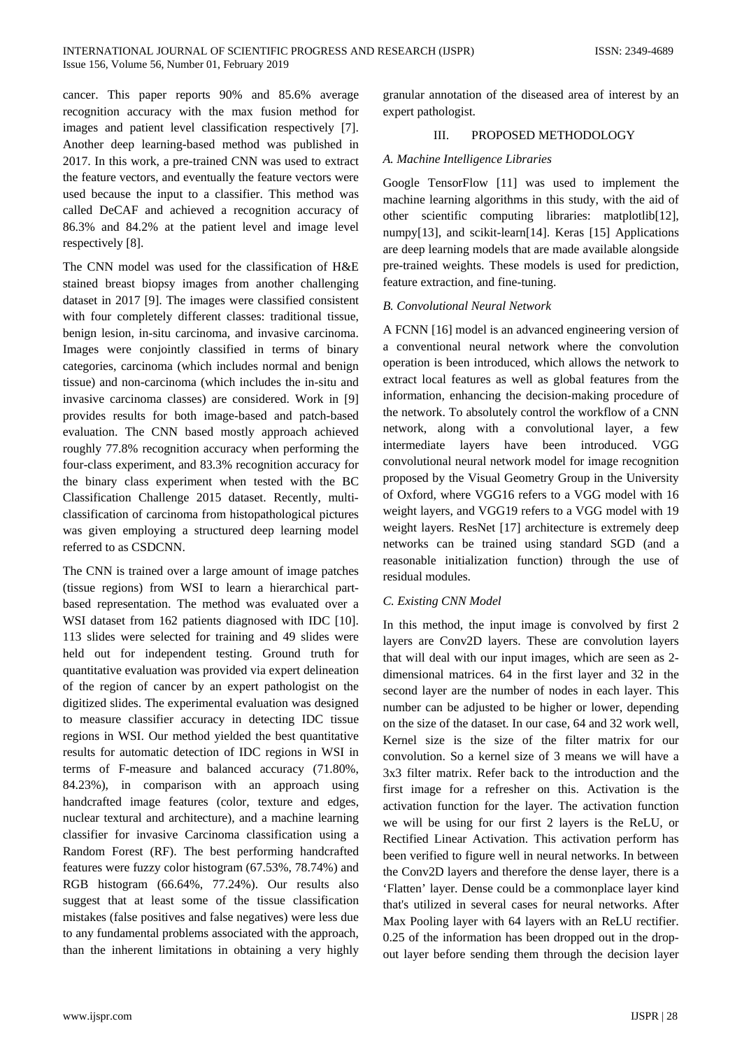cancer. This paper reports 90% and 85.6% average recognition accuracy with the max fusion method for images and patient level classification respectively [7]. Another deep learning-based method was published in 2017. In this work, a pre-trained CNN was used to extract the feature vectors, and eventually the feature vectors were used because the input to a classifier. This method was called DeCAF and achieved a recognition accuracy of 86.3% and 84.2% at the patient level and image level respectively [8].

The CNN model was used for the classification of H&E stained breast biopsy images from another challenging dataset in 2017 [9]. The images were classified consistent with four completely different classes: traditional tissue, benign lesion, in-situ carcinoma, and invasive carcinoma. Images were conjointly classified in terms of binary categories, carcinoma (which includes normal and benign tissue) and non-carcinoma (which includes the in-situ and invasive carcinoma classes) are considered. Work in [9] provides results for both image-based and patch-based evaluation. The CNN based mostly approach achieved roughly 77.8% recognition accuracy when performing the four-class experiment, and 83.3% recognition accuracy for the binary class experiment when tested with the BC Classification Challenge 2015 dataset. Recently, multiclassification of carcinoma from histopathological pictures was given employing a structured deep learning model referred to as CSDCNN.

The CNN is trained over a large amount of image patches (tissue regions) from WSI to learn a hierarchical partbased representation. The method was evaluated over a WSI dataset from 162 patients diagnosed with IDC [10]. 113 slides were selected for training and 49 slides were held out for independent testing. Ground truth for quantitative evaluation was provided via expert delineation of the region of cancer by an expert pathologist on the digitized slides. The experimental evaluation was designed to measure classifier accuracy in detecting IDC tissue regions in WSI. Our method yielded the best quantitative results for automatic detection of IDC regions in WSI in terms of F-measure and balanced accuracy (71.80%, 84.23%), in comparison with an approach using handcrafted image features (color, texture and edges, nuclear textural and architecture), and a machine learning classifier for invasive Carcinoma classification using a Random Forest (RF). The best performing handcrafted features were fuzzy color histogram (67.53%, 78.74%) and RGB histogram (66.64%, 77.24%). Our results also suggest that at least some of the tissue classification mistakes (false positives and false negatives) were less due to any fundamental problems associated with the approach, than the inherent limitations in obtaining a very highly

granular annotation of the diseased area of interest by an expert pathologist.

# III. PROPOSED METHODOLOGY

# *A. Machine Intelligence Libraries*

Google TensorFlow [11] was used to implement the machine learning algorithms in this study, with the aid of other scientific computing libraries: matplotlib[12], numpy[13], and scikit-learn[14]. Keras [15] Applications are deep learning models that are made available alongside pre-trained weights. These models is used for prediction, feature extraction, and fine-tuning.

### *B. Convolutional Neural Network*

A FCNN [16] model is an advanced engineering version of a conventional neural network where the convolution operation is been introduced, which allows the network to extract local features as well as global features from the information, enhancing the decision-making procedure of the network. To absolutely control the workflow of a CNN network, along with a convolutional layer, a few intermediate layers have been introduced. VGG convolutional neural network model for image recognition proposed by the Visual Geometry Group in the University of Oxford, where VGG16 refers to a VGG model with 16 weight layers, and VGG19 refers to a VGG model with 19 weight layers. ResNet [17] architecture is extremely deep networks can be trained using standard SGD (and a reasonable initialization function) through the use of residual modules.

# *C. Existing CNN Model*

In this method, the input image is convolved by first 2 layers are Conv2D layers. These are convolution layers that will deal with our input images, which are seen as 2 dimensional matrices. 64 in the first layer and 32 in the second layer are the number of nodes in each layer. This number can be adjusted to be higher or lower, depending on the size of the dataset. In our case, 64 and 32 work well, Kernel size is the size of the filter matrix for our convolution. So a kernel size of 3 means we will have a 3x3 filter matrix. Refer back to the introduction and the first image for a refresher on this. Activation is the activation function for the layer. The activation function we will be using for our first 2 layers is the ReLU, or Rectified Linear Activation. This activation perform has been verified to figure well in neural networks. In between the Conv2D layers and therefore the dense layer, there is a 'Flatten' layer. Dense could be a commonplace layer kind that's utilized in several cases for neural networks. After Max Pooling layer with 64 layers with an ReLU rectifier. 0.25 of the information has been dropped out in the dropout layer before sending them through the decision layer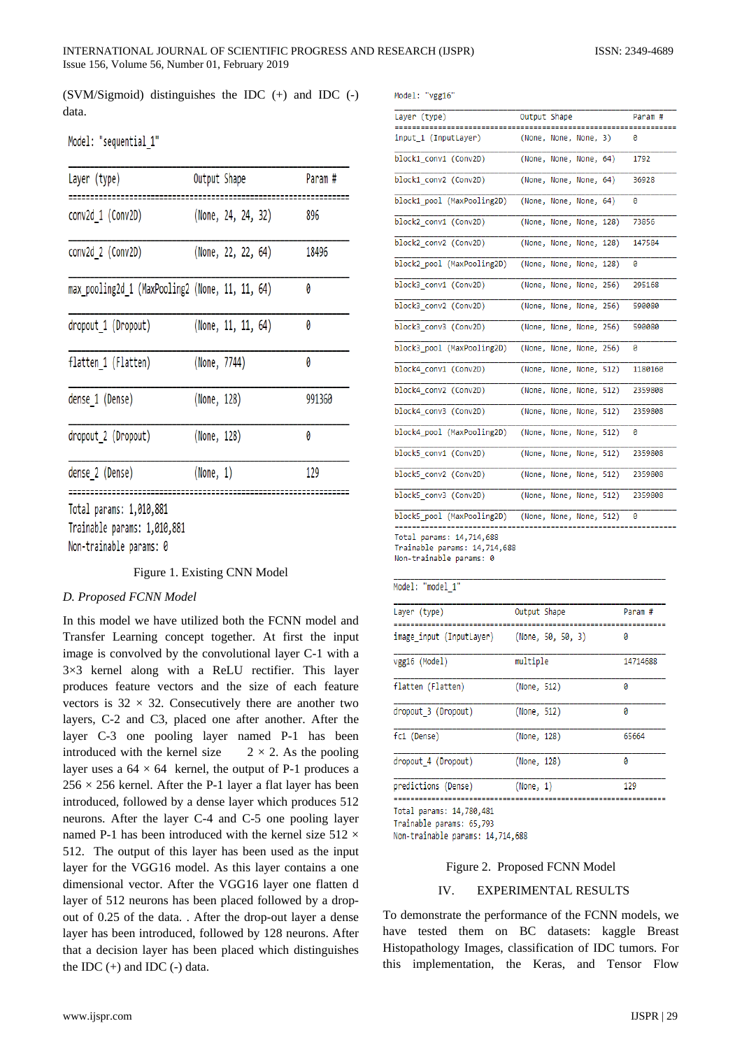(SVM/Sigmoid) distinguishes the IDC (+) and IDC (-) data.

| Model: | "sequential 1" |  |
|--------|----------------|--|
|        |                |  |

| Layer (type)                                    | Output Shape |                    | Param# |
|-------------------------------------------------|--------------|--------------------|--------|
| conv2d 1 (Conv2D)                               |              | (None, 24, 24, 32) | 896    |
| conv2d 2 (Conv2D)                               |              | (None, 22, 22, 64) | 18496  |
| max_pooling2d_1 (MaxPooling2 (None, 11, 11, 64) |              |                    | 0      |
| dropout 1 (Dropout)                             |              | (None, 11, 11, 64) | 0      |
| flatten 1 (Flatten)                             | (None, 7744) |                    | Ø      |
| dense_1 (Dense)                                 | (None, 128)  |                    | 991360 |
| dropout_2 (Dropout)                             | (None, 128)  |                    | 0      |
| dense 2 (Dense)                                 | (None, 1)    |                    | 129    |
| Total params: 1,010,881<br>T. 4 A4A AA4         |              |                    |        |

Trainable params: 1,010,881

Non-trainable params: 0

Figure 1. Existing CNN Model

# *D. Proposed FCNN Model*

In this model we have utilized both the FCNN model and Transfer Learning concept together. At first the input image is convolved by the convolutional layer C-1 with a 3×3 kernel along with a ReLU rectifier. This layer produces feature vectors and the size of each feature vectors is  $32 \times 32$ . Consecutively there are another two layers, C-2 and C3, placed one after another. After the layer C-3 one pooling layer named P-1 has been introduced with the kernel size  $2 \times 2$ . As the pooling layer uses a  $64 \times 64$  kernel, the output of P-1 produces a  $256 \times 256$  kernel. After the P-1 layer a flat layer has been introduced, followed by a dense layer which produces 512 neurons. After the layer C-4 and C-5 one pooling layer named P-1 has been introduced with the kernel size  $512 \times$ 512. The output of this layer has been used as the input layer for the VGG16 model. As this layer contains a one dimensional vector. After the VGG16 layer one flatten d layer of 512 neurons has been placed followed by a dropout of 0.25 of the data. . After the drop-out layer a dense layer has been introduced, followed by 128 neurons. After that a decision layer has been placed which distinguishes the IDC  $(+)$  and IDC  $(-)$  data.

Model: "vgg16"

| Layer (type)                                                                        | Output Shape            | ----- | Param #<br>--------- |
|-------------------------------------------------------------------------------------|-------------------------|-------|----------------------|
| input 1 (InputLayer)                                                                | (None, None, None, 3)   |       | ø                    |
| block1 conv1 (Conv2D)                                                               | (None, None, None, 64)  |       | 1792                 |
| block1 conv2 (Conv2D)                                                               | (None, None, None, 64)  |       | 36928                |
| block1 pool (MaxPooling2D)                                                          | (None, None, None, 64)  |       | ø                    |
| block2 conv1 (Conv2D)                                                               | (None, None, None, 128) |       | 73856                |
| block2 conv2 (Conv2D)                                                               | (None, None, None, 128) |       | 147584               |
| block2 pool (MaxPooling2D)                                                          | (None, None, None, 128) |       | ø                    |
| block3 conv1 (Conv2D)                                                               | (None, None, None, 256) |       | 295168               |
| block3_conv2 (Conv2D)                                                               | (None, None, None, 256) |       | 590080               |
| block3 conv3 (Conv2D)                                                               | (None, None, None, 256) |       | 590080               |
| block3 pool (MaxPooling2D)                                                          | (None, None, None, 256) |       | ø                    |
| block4 conv1 (Conv2D)                                                               | (None, None, None, 512) |       | 1180160              |
| block4 conv2 (Conv2D)                                                               | (None, None, None, 512) |       | 2359808              |
| block4 conv3 (Conv2D)                                                               | (None, None, None, 512) |       | 2359808              |
| block4_pool (MaxPooling2D)                                                          | (None, None, None, 512) |       | ø                    |
| block5 conv1 (Conv2D)                                                               | (None, None, None, 512) |       | 2359808              |
| block5 conv2 (Conv2D)                                                               | (None, None, None, 512) |       | 2359808              |
| block5 conv3 (Conv2D)                                                               | (None, None, None, 512) |       | 2359808              |
| block5_pool (MaxPooling2D)                                                          | (None, None, None, 512) |       | 0                    |
| Total params: 14,714,688<br>Trainable params: 14,714,688<br>Non-trainable params: 0 |                         |       |                      |

#### Model: "model 1"

| Layer (type)             | Output Shape      | Param #  |
|--------------------------|-------------------|----------|
| image input (InputLayer) | (None, 50, 50, 3) | ø        |
| vgg16 (Model)            | multiple          | 14714688 |
| flatten (Flatten)        | (None, 512)       | ø        |
| dropout 3 (Dropout)      | (None, 512)       | 0        |
| fc1 (Dense)              | (None, 128)       | 65664    |
| dropout 4 (Dropout)      | (None, 128)       | 0        |
| predictions (Dense)      | (None, 1)         | 129      |

Total params: 14,780,481

Trainable params: 65,793

Non-trainable params: 14,714,688

#### Figure 2. Proposed FCNN Model

#### IV. EXPERIMENTAL RESULTS

To demonstrate the performance of the FCNN models, we have tested them on BC datasets: kaggle Breast Histopathology Images, classification of IDC tumors. For this implementation, the Keras, and Tensor Flow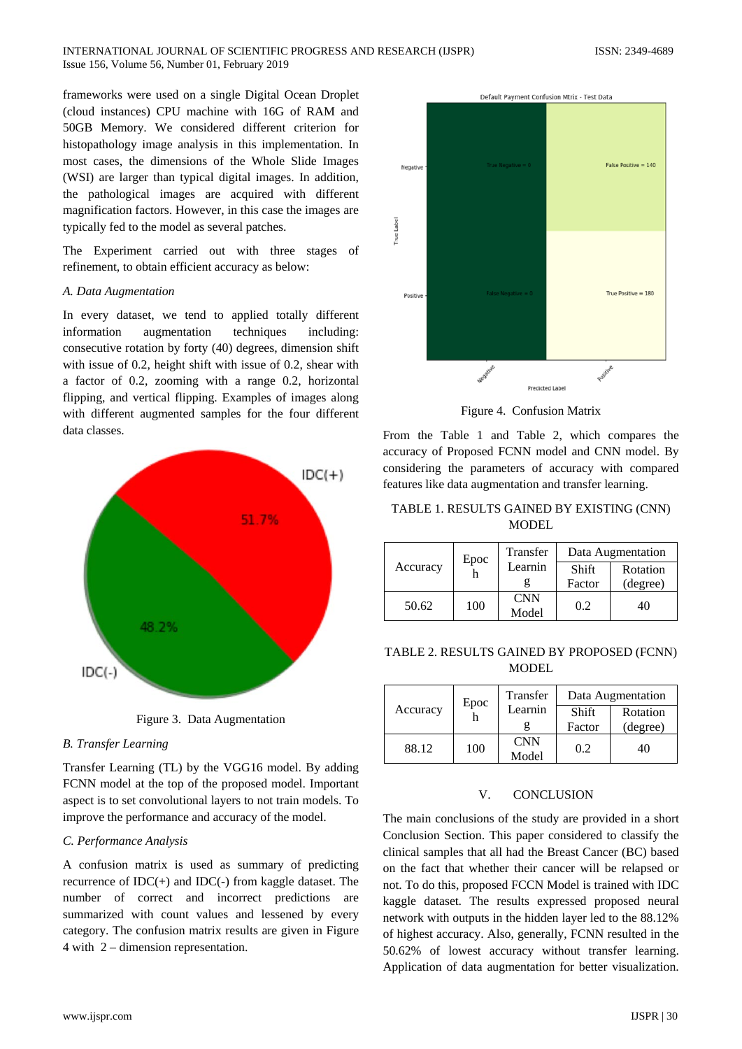frameworks were used on a single Digital Ocean Droplet (cloud instances) CPU machine with 16G of RAM and 50GB Memory. We considered different criterion for histopathology image analysis in this implementation. In most cases, the dimensions of the Whole Slide Images (WSI) are larger than typical digital images. In addition, the pathological images are acquired with different magnification factors. However, in this case the images are typically fed to the model as several patches.

The Experiment carried out with three stages of refinement, to obtain efficient accuracy as below:

#### *A. Data Augmentation*

In every dataset, we tend to applied totally different information augmentation techniques including: consecutive rotation by forty (40) degrees, dimension shift with issue of 0.2, height shift with issue of 0.2, shear with a factor of 0.2, zooming with a range 0.2, horizontal flipping, and vertical flipping. Examples of images along with different augmented samples for the four different data classes.



Figure 3. Data Augmentation

#### *B. Transfer Learning*

Transfer Learning (TL) by the VGG16 model. By adding FCNN model at the top of the proposed model. Important aspect is to set convolutional layers to not train models. To improve the performance and accuracy of the model.

#### *C. Performance Analysis*

A confusion matrix is used as summary of predicting recurrence of IDC(+) and IDC(-) from kaggle dataset. The number of correct and incorrect predictions are summarized with count values and lessened by every category. The confusion matrix results are given in Figure 4 with 2 – dimension representation.



Figure 4. Confusion Matrix

From the Table 1 and Table 2, which compares the accuracy of Proposed FCNN model and CNN model. By considering the parameters of accuracy with compared features like data augmentation and transfer learning.

# TABLE 1. RESULTS GAINED BY EXISTING (CNN) MODEL

|          | Epoc | <b>Transfer</b> | Data Augmentation |          |  |
|----------|------|-----------------|-------------------|----------|--|
| Accuracy |      | Learnin         | Shift             | Rotation |  |
|          |      |                 | Factor            | (degree) |  |
| 50.62    | 100  | <b>CNN</b>      | 0.2               | 40       |  |
|          |      | Model           |                   |          |  |

# TABLE 2. RESULTS GAINED BY PROPOSED (FCNN) **MODEL**

| Accuracy | Epoc | <b>Transfer</b> | Data Augmentation |          |  |
|----------|------|-----------------|-------------------|----------|--|
|          |      | Learnin         | Shift             | Rotation |  |
|          |      |                 | Factor            | (degree) |  |
| 88.12    | 100  | <b>CNN</b>      | 0.2               | 40       |  |
|          |      | Model           |                   |          |  |

#### V. CONCLUSION

The main conclusions of the study are provided in a short Conclusion Section. This paper considered to classify the clinical samples that all had the Breast Cancer (BC) based on the fact that whether their cancer will be relapsed or not. To do this, proposed FCCN Model is trained with IDC kaggle dataset. The results expressed proposed neural network with outputs in the hidden layer led to the 88.12% of highest accuracy. Also, generally, FCNN resulted in the 50.62% of lowest accuracy without transfer learning. Application of data augmentation for better visualization.